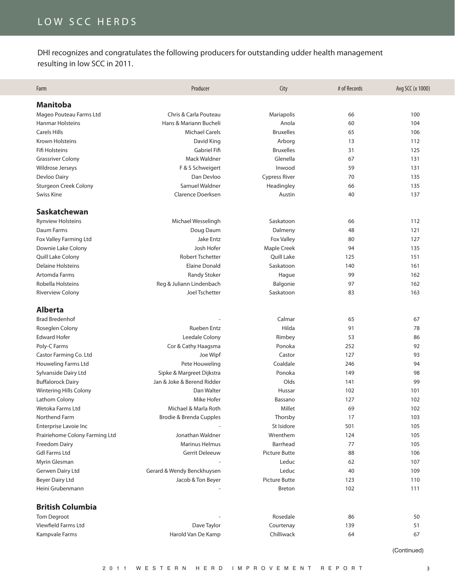# LOW SCC HERDS

DHI recognizes and congratulates the following producers for outstanding udder health management resulting in low SCC in 2011.

| Farm                           | Producer                   | City                 | # of Records | Avg SCC (x 1000) |
|--------------------------------|----------------------------|----------------------|--------------|------------------|
| <b>Manitoba</b>                |                            |                      |              |                  |
| Mageo Pouteau Farms Ltd        | Chris & Carla Pouteau      | Mariapolis           | 66           | 100              |
| <b>Hanmar Holsteins</b>        | Hans & Mariann Bucheli     | Anola                | 60           | 104              |
| <b>Carels Hills</b>            | <b>Michael Carels</b>      | <b>Bruxelles</b>     | 65           | 106              |
| Krown Holsteins                | David King                 | Arborg               | 13           | 112              |
| <b>Fifi Holsteins</b>          | Gabriel Fifi               | <b>Bruxelles</b>     | 31           | 125              |
| <b>Grassriver Colony</b>       | Mack Waldner               | Glenella             | 67           | 131              |
| Wildrose Jerseys               | F & S Schweigert           | Inwood               | 59           | 131              |
| Devloo Dairy                   | Dan Devloo                 | <b>Cypress River</b> | 70           | 135              |
| Sturgeon Creek Colony          | Samuel Waldner             | Headingley           | 66           | 135              |
| Swiss Kine                     | Clarence Doerksen          | Austin               | 40           | 137              |
| Saskatchewan                   |                            |                      |              |                  |
| <b>Rynview Holsteins</b>       | Michael Wesselingh         | Saskatoon            | 66           | 112              |
| Daum Farms                     | Doug Daum                  | Dalmeny              | 48           | 121              |
| Fox Valley Farming Ltd         | <b>Jake Entz</b>           | <b>Fox Valley</b>    | 80           | 127              |
| Downie Lake Colony             | Josh Hofer                 | Maple Creek          | 94           | 135              |
| Quill Lake Colony              | <b>Robert Tschetter</b>    | Quill Lake           | 125          | 151              |
| <b>Delaine Holsteins</b>       | <b>Elaine Donald</b>       | Saskatoon            | 140          | 161              |
| Artomda Farms                  | <b>Randy Stoker</b>        | Hague                | 99           | 162              |
| Robella Holsteins              | Reg & Juliann Lindenbach   | Balgonie             | 97           | 162              |
| <b>Riverview Colony</b>        | <b>Joel Tschetter</b>      | Saskatoon            | 83           | 163              |
| <b>Alberta</b>                 |                            |                      |              |                  |
| <b>Brad Bredenhof</b>          |                            | Calmar               | 65           | 67               |
| Roseglen Colony                | <b>Rueben Entz</b>         | Hilda                | 91           | 78               |
| <b>Edward Hofer</b>            | Leedale Colony             | Rimbey               | 53           | 86               |
| Poly-C Farms                   | Cor & Cathy Haagsma        | Ponoka               | 252          | 92               |
| Castor Farming Co. Ltd         | Joe Wipf                   | Castor               | 127          | 93               |
| Houweling Farms Ltd            | Pete Houweling             | Coaldale             | 246          | 94               |
| Sylvanside Dairy Ltd           | Sipke & Margreet Dijkstra  | Ponoka               | 149          | 98               |
| <b>Buffalorock Dairy</b>       | Jan & Joke & Berend Ridder | Olds                 | 141          | 99               |
| Wintering Hills Colony         | Dan Walter                 | Hussar               | 102          | 101              |
| Lathom Colony                  | Mike Hofer                 | Bassano              | 127          | 102              |
| Wetoka Farms Ltd               | Michael & Marla Roth       | Millet               | 69           | 102              |
| Northend Farm                  | Brodie & Brenda Cupples    | Thorsby              | 17           | 103              |
| Enterprise Lavoie Inc          |                            | St Isidore           | 501          | 105              |
| Prairiehome Colony Farming Ltd | Jonathan Waldner           | Wrenthem             | 124          | 105              |
| Freedom Dairy                  | <b>Marinus Helmus</b>      | Barrhead             | 77           | 105              |
| <b>Gdl Farms Ltd</b>           | <b>Gerrit Deleeuw</b>      | <b>Picture Butte</b> | 88           | 106              |
| Myrin Glesman                  |                            | Leduc                | 62           | 107              |
| Gerwen Dairy Ltd               | Gerard & Wendy Benckhuysen | Leduc                | 40           | 109              |
| <b>Beyer Dairy Ltd</b>         | Jacob & Ton Beyer          | <b>Picture Butte</b> | 123          | 110              |
| Heini Grubenmann               |                            | <b>Breton</b>        | 102          | 111              |
| <b>British Columbia</b>        |                            |                      |              |                  |
| <b>Tom Degroot</b>             |                            | Rosedale             | 86           | 50               |
| Viewfield Farms Ltd            | Dave Taylor                | Courtenay            | 139          | 51               |
| Kampvale Farms                 | Harold Van De Kamp         | Chilliwack           | 64           | 67               |
|                                |                            |                      |              | (Continued)      |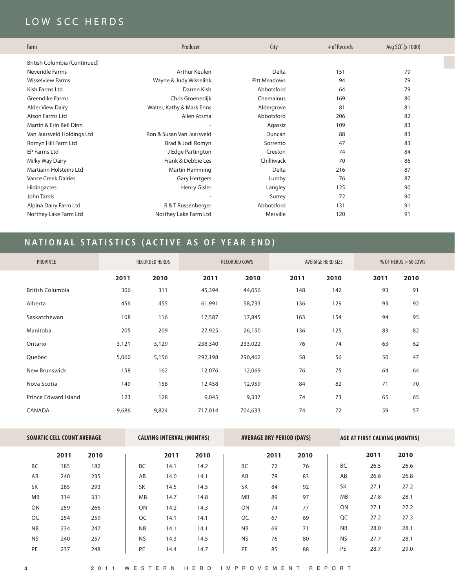# LOW SCC HERDS

| Farm                          | Producer                  | City                | # of Records | Avg SCC (x 1000) |
|-------------------------------|---------------------------|---------------------|--------------|------------------|
| British Columbia (Continued)  |                           |                     |              |                  |
| Neveridle Farms               | Arthur Keulen             | Delta               | 151          | 79               |
| <b>Wisselview Farms</b>       | Wayne & Judy Wisselink    | <b>Pitt Meadows</b> | 94           | 79               |
| Kish Farms Ltd                | Darren Kish               | Abbotsford          | 64           | 79               |
| <b>Greendike Farms</b>        | Chris Groenedijk          | Chemainus           | 169          | 80               |
| <b>Alder View Dairy</b>       | Walter, Kathy & Mark Enns | Aldergrove          | 81           | 81               |
| <b>Atson Farms Ltd</b>        | Allen Atsma               | Abbotsford          | 206          | 82               |
| Martin & Erin Bell Dinn       |                           | Agassiz             | 109          | 83               |
| Van Jaarsveld Holdings Ltd    | Ron & Susan Van Jaarsveld | Duncan              | 88           | 83               |
| Romyn Hill Farm Ltd           | Brad & Jodi Romyn         | Sorrento            | 47           | 83               |
| EP Farms Ltd                  | J Edge Partington         | Creston             | 74           | 84               |
| Milky Way Dairy               | Frank & Debbie Les        | Chilliwack          | 70           | 86               |
| <b>Martiann Holsteins Ltd</b> | Martin Hamming            | Delta               | 216          | 87               |
| <b>Vance Creek Dairies</b>    | <b>Gary Hertgers</b>      | Lumby               | 76           | 87               |
| Hidingacres                   | Henry Gisler              | Langley             | 125          | 90               |
| John Tamis                    |                           | Surrey              | 72           | 90               |
| Alpina Dairy Farm Ltd.        | R & T Russenberger        | Abbotsford          | 131          | 91               |
| Northey Lake Farm Ltd         | Northey Lake Farm Ltd     | Merville            | 120          | 91               |

# **NATIONAL STATISTICS (ACTIVE AS OF YEAR END)**

| PROVINCE                |       | <b>RECORDED HERDS</b> |         | <b>RECORDED COWS</b> |      | AVERAGE HERD SIZE |      | % OF HERDS $>$ 50 COWS |
|-------------------------|-------|-----------------------|---------|----------------------|------|-------------------|------|------------------------|
|                         | 2011  | 2010                  | 2011    | 2010                 | 2011 | 2010              | 2011 | 2010                   |
| <b>British Columbia</b> | 306   | 311                   | 45,394  | 44,056               | 148  | 142               | 93   | 91                     |
| Alberta                 | 456   | 455                   | 61,991  | 58,733               | 136  | 129               | 93   | 92                     |
| Saskatchewan            | 108   | 116                   | 17,587  | 17,845               | 163  | 154               | 94   | 95                     |
| Manitoba                | 205   | 209                   | 27,925  | 26,150               | 136  | 125               | 83   | 82                     |
| Ontario                 | 3,121 | 3,129                 | 238,340 | 233,022              | 76   | 74                | 63   | 62                     |
| Quebec                  | 5,060 | 5,156                 | 292,198 | 290,462              | 58   | 56                | 50   | 47                     |
| New Brunswick           | 158   | 162                   | 12,076  | 12,069               | 76   | 75                | 64   | 64                     |
| Nova Scotia             | 149   | 158                   | 12,458  | 12,959               | 84   | 82                | 71   | 70                     |
| Prince Edward Island    | 123   | 128                   | 9,045   | 9,337                | 74   | 73                | 65   | 65                     |
| CANADA                  | 9,686 | 9,824                 | 717,014 | 704,633              | 74   | 72                | 59   | 57                     |

|           | <b>SOMATIC CELL COUNT AVERAGE</b> |      |           | <b>CALVING INTERVAL (MONTHS)</b> |      |           | <b>AVERAGE DRY PERIOD (DAYS)</b> |      |           | AGE AT FIRST CALVING (MONTHS) |      |
|-----------|-----------------------------------|------|-----------|----------------------------------|------|-----------|----------------------------------|------|-----------|-------------------------------|------|
|           | 2011                              | 2010 |           | 2011                             | 2010 |           | 2011                             | 2010 |           | 2011                          | 2010 |
| <b>BC</b> | 185                               | 182  | <b>BC</b> | 14.1                             | 14.2 | <b>BC</b> | 72                               | 76   | <b>BC</b> | 26.5                          | 26.6 |
| AB        | 240                               | 235  | AB        | 14.0                             | 14.1 | AB        | 78                               | 83   | AB        | 26.6                          | 26.8 |
| <b>SK</b> | 285                               | 293  | <b>SK</b> | 14.5                             | 14.5 | <b>SK</b> | 84                               | 92   | <b>SK</b> | 27.1                          | 27.2 |
| <b>MB</b> | 314                               | 331  | <b>MB</b> | 14.7                             | 14.8 | <b>MB</b> | 89                               | 97   | <b>MB</b> | 27.8                          | 28.1 |
| <b>ON</b> | 259                               | 266  | ON        | 14.2                             | 14.3 | ON        | 74                               | 77   | ON        | 27.1                          | 27.2 |
| QC        | 254                               | 259  | QC        | 14.1                             | 14.1 | QC        | 67                               | 69   | QC        | 27.2                          | 27.3 |
| <b>NB</b> | 234                               | 247  | <b>NB</b> | 14.1                             | 14.1 | <b>NB</b> | 69                               | 71   | <b>NB</b> | 28.0                          | 28.1 |
| <b>NS</b> | 240                               | 257  | <b>NS</b> | 14.3                             | 14.5 | <b>NS</b> | 76                               | 80   | <b>NS</b> | 27.7                          | 28.1 |
| PE        | 237                               | 248  | PE        | 14.4                             | 14.7 | PE        | 85                               | 88   | PE        | 28.7                          | 29.0 |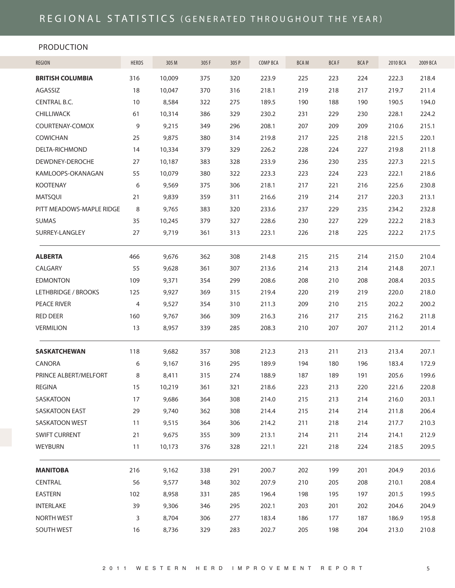#### PRODUCTION

| <b>REGION</b>            | HERDS | 305 M  | 305 F | 305 P | COMP BCA | <b>BCAM</b> | <b>BCAF</b> | <b>BCAP</b> | 2010 BCA | 2009 BCA |
|--------------------------|-------|--------|-------|-------|----------|-------------|-------------|-------------|----------|----------|
| <b>BRITISH COLUMBIA</b>  | 316   | 10,009 | 375   | 320   | 223.9    | 225         | 223         | 224         | 222.3    | 218.4    |
| AGASSIZ                  | 18    | 10,047 | 370   | 316   | 218.1    | 219         | 218         | 217         | 219.7    | 211.4    |
| CENTRAL B.C.             | 10    | 8,584  | 322   | 275   | 189.5    | 190         | 188         | 190         | 190.5    | 194.0    |
| CHILLIWACK               | 61    | 10,314 | 386   | 329   | 230.2    | 231         | 229         | 230         | 228.1    | 224.2    |
| COURTENAY-COMOX          | 9     | 9,215  | 349   | 296   | 208.1    | 207         | 209         | 209         | 210.6    | 215.1    |
| COWICHAN                 | 25    | 9,875  | 380   | 314   | 219.8    | 217         | 225         | 218         | 221.5    | 220.1    |
| DELTA-RICHMOND           | 14    | 10,334 | 379   | 329   | 226.2    | 228         | 224         | 227         | 219.8    | 211.8    |
| DEWDNEY-DEROCHE          | 27    | 10,187 | 383   | 328   | 233.9    | 236         | 230         | 235         | 227.3    | 221.5    |
| KAMLOOPS-OKANAGAN        | 55    | 10,079 | 380   | 322   | 223.3    | 223         | 224         | 223         | 222.1    | 218.6    |
| <b>KOOTENAY</b>          | 6     | 9,569  | 375   | 306   | 218.1    | 217         | 221         | 216         | 225.6    | 230.8    |
| <b>MATSQUI</b>           | 21    | 9,839  | 359   | 311   | 216.6    | 219         | 214         | 217         | 220.3    | 213.1    |
| PITT MEADOWS-MAPLE RIDGE | 8     | 9,765  | 383   | 320   | 233.6    | 237         | 229         | 235         | 234.2    | 232.8    |
| <b>SUMAS</b>             | 35    | 10,245 | 379   | 327   | 228.6    | 230         | 227         | 229         | 222.2    | 218.3    |
| SURREY-LANGLEY           | 27    | 9,719  | 361   | 313   | 223.1    | 226         | 218         | 225         | 222.2    | 217.5    |
| <b>ALBERTA</b>           | 466   | 9,676  | 362   | 308   | 214.8    | 215         | 215         | 214         | 215.0    | 210.4    |
| CALGARY                  | 55    | 9,628  | 361   | 307   | 213.6    | 214         | 213         | 214         | 214.8    | 207.1    |
| <b>EDMONTON</b>          | 109   | 9,371  | 354   | 299   | 208.6    | 208         | 210         | 208         | 208.4    | 203.5    |
| LETHBRIDGE / BROOKS      | 125   | 9,927  | 369   | 315   | 219.4    | 220         | 219         | 219         | 220.0    | 218.0    |
| PEACE RIVER              | 4     | 9,527  | 354   | 310   | 211.3    | 209         | 210         | 215         | 202.2    | 200.2    |
| <b>RED DEER</b>          | 160   | 9,767  | 366   | 309   | 216.3    | 216         | 217         | 215         | 216.2    | 211.8    |
| <b>VERMILION</b>         | 13    | 8,957  | 339   | 285   | 208.3    | 210         | 207         | 207         | 211.2    | 201.4    |
| <b>SASKATCHEWAN</b>      | 118   | 9,682  | 357   | 308   | 212.3    | 213         | 211         | 213         | 213.4    | 207.1    |
| CANORA                   | 6     | 9,167  | 316   | 295   | 189.9    | 194         | 180         | 196         | 183.4    | 172.9    |
| PRINCE ALBERT/MELFORT    | 8     | 8,411  | 315   | 274   | 188.9    | 187         | 189         | 191         | 205.6    | 199.6    |
| <b>REGINA</b>            | 15    | 10,219 | 361   | 321   | 218.6    | 223         | 213         | 220         | 221.6    | 220.8    |
| SASKATOON                | 17    | 9,686  | 364   | 308   | 214.0    | 215         | 213         | 214         | 216.0    | 203.1    |
| <b>SASKATOON EAST</b>    | 29    | 9,740  | 362   | 308   | 214.4    | 215         | 214         | 214         | 211.8    | 206.4    |
| SASKATOON WEST           | 11    | 9,515  | 364   | 306   | 214.2    | 211         | 218         | 214         | 217.7    | 210.3    |
| <b>SWIFT CURRENT</b>     | 21    | 9,675  | 355   | 309   | 213.1    | 214         | 211         | 214         | 214.1    | 212.9    |
| WEYBURN                  | 11    | 10,173 | 376   | 328   | 221.1    | 221         | 218         | 224         | 218.5    | 209.5    |
| <b>MANITOBA</b>          | 216   | 9,162  | 338   | 291   | 200.7    | 202         | 199         | 201         | 204.9    | 203.6    |
| CENTRAL                  | 56    | 9,577  | 348   | 302   | 207.9    | 210         | 205         | 208         | 210.1    | 208.4    |
| EASTERN                  | 102   | 8,958  | 331   | 285   | 196.4    | 198         | 195         | 197         | 201.5    | 199.5    |
| INTERLAKE                | 39    | 9,306  | 346   | 295   | 202.1    | 203         | 201         | 202         | 204.6    | 204.9    |
| <b>NORTH WEST</b>        | 3     | 8,704  | 306   | 277   | 183.4    | 186         | 177         | 187         | 186.9    | 195.8    |
| SOUTH WEST               | 16    | 8,736  | 329   | 283   | 202.7    | 205         | 198         | 204         | 213.0    | 210.8    |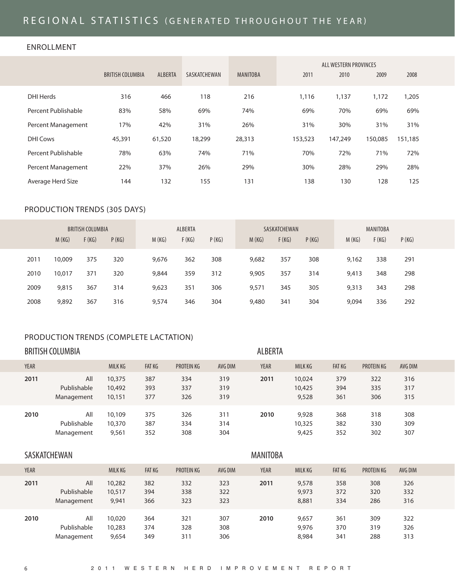# REGIONAL STATISTICS (GENERATED THROUGHOUT THE YEAR)

#### ENROLLMENT

|                     |                         |         |              |                 |         | ALL WESTERN PROVINCES |         |         |
|---------------------|-------------------------|---------|--------------|-----------------|---------|-----------------------|---------|---------|
|                     | <b>BRITISH COLUMBIA</b> | ALBERTA | SASKATCHEWAN | <b>MANITOBA</b> | 2011    | 2010                  | 2009    | 2008    |
| DHI Herds           | 316                     | 466     | 118          | 216             | 1,116   | 1,137                 | 1,172   | 1,205   |
| Percent Publishable | 83%                     | 58%     | 69%          | 74%             | 69%     | 70%                   | 69%     | 69%     |
| Percent Management  | 17%                     | 42%     | 31%          | 26%             | 31%     | 30%                   | 31%     | 31%     |
| <b>DHI Cows</b>     | 45,391                  | 61,520  | 18,299       | 28,313          | 153,523 | 147,249               | 150,085 | 151,185 |
| Percent Publishable | 78%                     | 63%     | 74%          | 71%             | 70%     | 72%                   | 71%     | 72%     |
| Percent Management  | 22%                     | 37%     | 26%          | 29%             | 30%     | 28%                   | 29%     | 28%     |
| Average Herd Size   | 144                     | 132     | 155          | 131             | 138     | 130                   | 128     | 125     |

#### PRODUCTION TRENDS (305 DAYS)

|      |        | <b>BRITISH COLUMBIA</b> |       |       | ALBERTA |       |       | SASKATCHEWAN |       |       | <b>MANITOBA</b> |       |  |
|------|--------|-------------------------|-------|-------|---------|-------|-------|--------------|-------|-------|-----------------|-------|--|
|      | M(KG)  | F(KG)                   | P(KG) | M(KG) | F(KG)   | P(KG) | M(KG) | F(KG)        | P(KG) | M(KG) | F(KG)           | P(KG) |  |
| 2011 | 10,009 | 375                     | 320   | 9,676 | 362     | 308   | 9,682 | 357          | 308   | 9.162 | 338             | 291   |  |
| 2010 | 10,017 | 371                     | 320   | 9,844 | 359     | 312   | 9,905 | 357          | 314   | 9,413 | 348             | 298   |  |
| 2009 | 9,815  | 367                     | 314   | 9,623 | 351     | 306   | 9,571 | 345          | 305   | 9,313 | 343             | 298   |  |
| 2008 | 9,892  | 367                     | 316   | 9,574 | 346     | 304   | 9,480 | 341          | 304   | 9,094 | 336             | 292   |  |

#### PRODUCTION TRENDS (COMPLETE LACTATION)

|             | <b>BRITISH COLUMBIA</b>          |                            |                   |                   |                   | <b>ALBERTA</b> |                           |                   |                   |                   |  |
|-------------|----------------------------------|----------------------------|-------------------|-------------------|-------------------|----------------|---------------------------|-------------------|-------------------|-------------------|--|
| <b>YEAR</b> |                                  | MILK KG                    | <b>FAT KG</b>     | PROTEIN KG        | AVG DIM           | <b>YEAR</b>    | MILK KG                   | <b>FAT KG</b>     | <b>PROTEIN KG</b> | AVG DIM           |  |
| 2011        | All<br>Publishable<br>Management | 10,375<br>10,492<br>10,151 | 387<br>393<br>377 | 334<br>337<br>326 | 319<br>319<br>319 | 2011           | 10,024<br>10,425<br>9,528 | 379<br>394<br>361 | 322<br>335<br>306 | 316<br>317<br>315 |  |
| 2010        | All<br>Publishable<br>Management | 10,109<br>10,370<br>9,561  | 375<br>387<br>352 | 326<br>334<br>308 | 311<br>314<br>304 | 2010           | 9,928<br>10,325<br>9,425  | 368<br>382<br>352 | 318<br>330<br>302 | 308<br>309<br>307 |  |

#### SASKATCHEWANMANITOBA

# YEAR MILK KG FAT KG PROTEIN KG AVG DIM YEAR MILK KG FAT KG PROTEIN KG AVG DIM **2011** All 10,282 382 332 323 **2011** 9,578 358 308 326 Publishable 10,517 394 338 322 9,973 372 320 332 Management 9,941 366 323 323 8,881 334 286 316 **2010** All 10,020 364 321 307 **2010** 9,657 361 309 322 Publishable 10,283 374 328 308 9,976 370 319 326 Management 9,654 349 311 306 8,984 341 288 313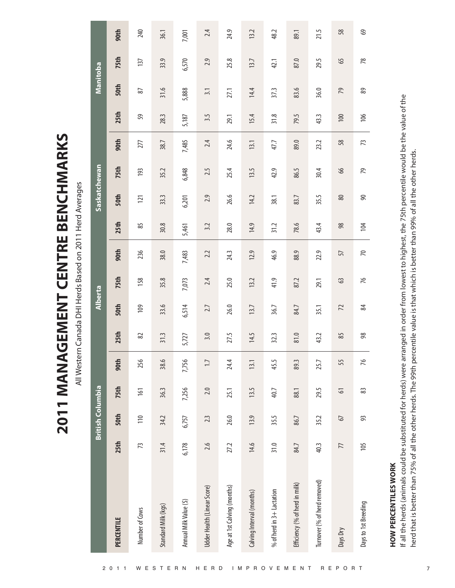All Western Canada DHI Herds Based on 2011 Herd Averages All Western Canada DHI Herds Based on 2011 Herd Averages

**2011 MANAGEMENT CENTRE BENCHMARKS**

2011 MANAGEMENT CENTRE BENCHMARKS

|                                                                                                                                                                                                                                                                                                                                  |       | <b>British Columbia</b> |                  |                  |                  | Alberta     |       |                  |                | Saskatchewan     |       |       |           | Manitoba |                 |       |
|----------------------------------------------------------------------------------------------------------------------------------------------------------------------------------------------------------------------------------------------------------------------------------------------------------------------------------|-------|-------------------------|------------------|------------------|------------------|-------------|-------|------------------|----------------|------------------|-------|-------|-----------|----------|-----------------|-------|
| PERCENTILE                                                                                                                                                                                                                                                                                                                       | 25th  | 50th                    | 75th             | 90th             | 25 <sup>th</sup> | <b>50th</b> | 75th  | 90 <sup>th</sup> | 25th           | 5 <sub>0th</sub> | 75th  | 90th  | 25th      | 50th     | <b>75th</b>     | 90th  |
| Number of Cows                                                                                                                                                                                                                                                                                                                   | 73    | 110                     | $\overline{161}$ | 256              | 82               | 109         | 158   | 236              | 85             | $\overline{121}$ | 193   | 277   | 59        | 87       | 137             | 240   |
| Standard Milk (kgs)                                                                                                                                                                                                                                                                                                              | 31.4  | 34.2                    | 36.3             | 38.6             | 31.3             | 33.6        | 35.8  | 38.0             | 30.8           | 33.3             | 35.2  | 38.7  | 28.3      | 31.6     | 33.9            | 36.1  |
| Annual Milk Value (\$)                                                                                                                                                                                                                                                                                                           | 6,178 | 6,757                   | 7,256            | 7,756            | 5,727            | 6,514       | 7,073 | 7,483            | 5,461          | 6,201            | 6,848 | 7,485 | 5,187     | 5,888    | 6,570           | 7,001 |
| Udder Health (Linear Score)                                                                                                                                                                                                                                                                                                      | 2.6   | 2.3                     | 2.0              | $\overline{1}$ . | 3.0              | 2.7         | 2.4   | 2.2              | 3.2            | 2.9              | 2.5   | 2.4   | 3.5       | 3.1      | 2.9             | 2.4   |
| Age at 1st Calving (months)                                                                                                                                                                                                                                                                                                      | 27.2  | 26.0                    | 25.1             | 24.4             | 27.5             | 26.0        | 25.0  | 24.3             | 28.0           | 26.6             | 25.4  | 24.6  | 29.1      | 27.1     | 25.8            | 24.9  |
| Calving Interval (months)                                                                                                                                                                                                                                                                                                        | 14.6  | 13.9                    | 13.5             | 13.1             | 14.5             | 13.7        | 13.2  | 12.9             | 14.9           | 14.2             | 13.5  | 13.1  | 15.4      | 14.4     | 13.7            | 13.2  |
| % of herd in 3+ Lactation                                                                                                                                                                                                                                                                                                        | 31.0  | 35.5                    | 40.7             | 45.5             | 32.3             | 36.7        | 41.9  | 46.9             | 31.2           | 38.1             | 42.9  | 47.7  | 31.8      | 37.3     | 42.1            | 48.2  |
| Efficiency (% of herd in milk)                                                                                                                                                                                                                                                                                                   | 84.7  | 86.7                    | 88.1             | 89.3             | 81.0             | 84.7        | 87.2  | 88.9             | 78.6           | 83.7             | 86.5  | 89.0  | 79.5      | 83.6     | 87.0            | 89.1  |
| Turnover (% of herd removed)                                                                                                                                                                                                                                                                                                     | 40.3  | 35.2                    | 29.5             | 25.7             | 43.2             | 35.1        | 29.1  | 22.9             | 43.4           | 35.5             | 30.4  | 23.2  | 43.3      | 36.0     | 29.5            | 21.5  |
| Days Dry                                                                                                                                                                                                                                                                                                                         | 77    | 67                      | 5                | 55               | 85               | 72          | 63    | 57               | 98             | 80               | 66    | 58    | $\approx$ | 79       | 65              | 58    |
| Days to 1st Breeding                                                                                                                                                                                                                                                                                                             | 105   | 93                      | 83               | 76               | $\frac{8}{2}$    | 84          | 76    | $\overline{70}$  | $\overline{a}$ | $\infty$         | 79    | 73    | 106       | 89       | $\overline{78}$ | 69    |
| If all the herds (animals could be substituted for herds) were arranged in order from lowest to highest, the 75th percentile would be the value of the<br>herd that is better than 75% of all the other herds. The 99th percentile value is that which is better than 99% of all the other herds.<br><b>HOW PERCENTILES WORK</b> |       |                         |                  |                  |                  |             |       |                  |                |                  |       |       |           |          |                 |       |
|                                                                                                                                                                                                                                                                                                                                  |       |                         |                  |                  |                  |             |       |                  |                |                  |       |       |           |          |                 |       |

# **HOW PERCENTILES WORK HOW PERCENTILES WORK**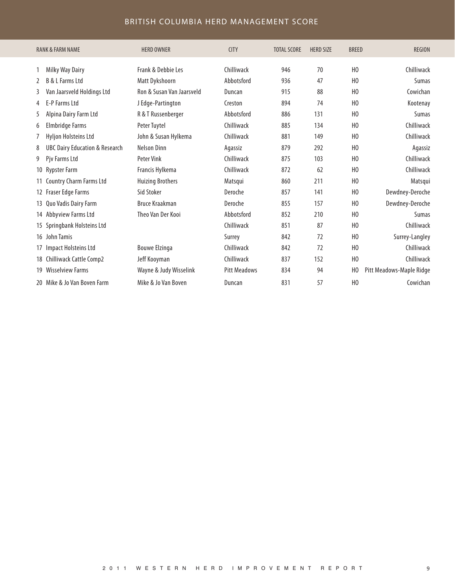#### BRITISH COLUMBIA HERD MANAGEMENT SCORE

|    | <b>RANK &amp; FARM NAME</b>               | <b>HERD OWNER</b>         | <b>CITY</b>         | <b>TOTAL SCORE</b> | <b>HERD SIZE</b> | <b>BREED</b>   | <b>REGION</b>            |
|----|-------------------------------------------|---------------------------|---------------------|--------------------|------------------|----------------|--------------------------|
|    | Milky Way Dairy                           | Frank & Debbie Les        | Chilliwack          | 946                | 70               | H <sub>0</sub> | Chilliwack               |
| 2  | <b>B &amp; L Farms Ltd</b>                | Matt Dykshoorn            | Abbotsford          | 936                | 47               | H <sub>0</sub> | Sumas                    |
| 3  | Van Jaarsveld Holdings Ltd                | Ron & Susan Van Jaarsveld | Duncan              | 915                | 88               | H <sub>0</sub> | Cowichan                 |
| 4  | E-P Farms Ltd                             | J Edge-Partington         | Creston             | 894                | 74               | H <sub>0</sub> | Kootenay                 |
| 5  | Alpina Dairy Farm Ltd                     | R & T Russenberger        | Abbotsford          | 886                | 131              | H <sub>0</sub> | Sumas                    |
| 6  | Elmbridge Farms                           | Peter Tuytel              | Chilliwack          | 885                | 134              | H <sub>0</sub> | Chilliwack               |
| 7  | Hyljon Holsteins Ltd                      | John & Susan Hylkema      | Chilliwack          | 881                | 149              | H <sub>0</sub> | Chilliwack               |
| 8  | <b>UBC Dairy Education &amp; Research</b> | <b>Nelson Dinn</b>        | Agassiz             | 879                | 292              | H <sub>0</sub> | Agassiz                  |
| 9  | Pjv Farms Ltd                             | <b>Peter Vink</b>         | Chilliwack          | 875                | 103              | H <sub>0</sub> | Chilliwack               |
|    | 10 Rypster Farm                           | Francis Hylkema           | Chilliwack          | 872                | 62               | H <sub>0</sub> | Chilliwack               |
|    | 11 Country Charm Farms Ltd                | <b>Huizing Brothers</b>   | Matsqui             | 860                | 211              | H <sub>0</sub> | Matsqui                  |
|    | 12 Fraser Edge Farms                      | Sid Stoker                | Deroche             | 857                | 141              | H <sub>0</sub> | Dewdney-Deroche          |
|    | 13 Quo Vadis Dairy Farm                   | <b>Bruce Kraakman</b>     | Deroche             | 855                | 157              | H <sub>0</sub> | Dewdney-Deroche          |
|    | 14 Abbyview Farms Ltd                     | Theo Van Der Kooi         | Abbotsford          | 852                | 210              | H <sub>0</sub> | Sumas                    |
|    | 15 Springbank Holsteins Ltd               |                           | Chilliwack          | 851                | 87               | H <sub>0</sub> | Chilliwack               |
|    | 16 John Tamis                             |                           | Surrey              | 842                | 72               | H <sub>0</sub> | Surrey-Langley           |
| 17 | Impact Holsteins Ltd                      | <b>Bouwe Elzinga</b>      | Chilliwack          | 842                | 72               | H <sub>0</sub> | Chilliwack               |
|    | 18 Chilliwack Cattle Comp2                | Jeff Kooyman              | Chilliwack          | 837                | 152              | H <sub>0</sub> | Chilliwack               |
| 19 | Wisselview Farms                          | Wayne & Judy Wisselink    | <b>Pitt Meadows</b> | 834                | 94               | H <sub>0</sub> | Pitt Meadows-Maple Ridge |
|    | 20 Mike & Jo Van Boven Farm               | Mike & Jo Van Boven       | Duncan              | 831                | 57               | H <sub>0</sub> | Cowichan                 |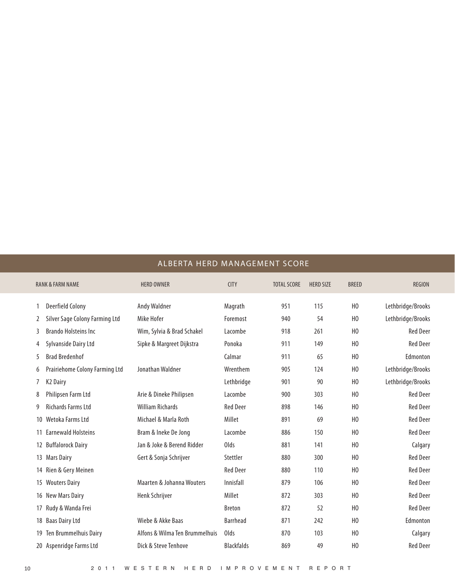|  |  |  | ALBERTA HERD MANAGEMENT SCORE |  |  |
|--|--|--|-------------------------------|--|--|
|--|--|--|-------------------------------|--|--|

|    | <b>RANK &amp; FARM NAME</b>    | <b>HERD OWNER</b>              | <b>CITY</b>       | <b>TOTAL SCORE</b> | <b>HERD SIZE</b> | <b>BREED</b>   | <b>REGION</b>     |
|----|--------------------------------|--------------------------------|-------------------|--------------------|------------------|----------------|-------------------|
|    | <b>Deerfield Colony</b>        | Andy Waldner                   | Magrath           | 951                | 115              | H <sub>0</sub> | Lethbridge/Brooks |
| 2  | Silver Sage Colony Farming Ltd | Mike Hofer                     | Foremost          | 940                | 54               | H <sub>0</sub> | Lethbridge/Brooks |
| 3  | <b>Brando Holsteins Inc.</b>   | Wim, Sylvia & Brad Schakel     | Lacombe           | 918                | 261              | H <sub>0</sub> | <b>Red Deer</b>   |
| 4  | Sylvanside Dairy Ltd           | Sipke & Margreet Dijkstra      | Ponoka            | 911                | 149              | H <sub>0</sub> | <b>Red Deer</b>   |
| 5  | <b>Brad Bredenhof</b>          |                                | Calmar            | 911                | 65               | H <sub>0</sub> | Edmonton          |
| 6  | Prairiehome Colony Farming Ltd | Jonathan Waldner               | Wrenthem          | 905                | 124              | H <sub>0</sub> | Lethbridge/Brooks |
|    | <b>K2 Dairy</b>                |                                | Lethbridge        | 901                | 90               | H <sub>0</sub> | Lethbridge/Brooks |
| 8  | Philipsen Farm Ltd             | Arie & Dineke Philipsen        | Lacombe           | 900                | 303              | H <sub>0</sub> | <b>Red Deer</b>   |
| 9  | <b>Richards Farms Ltd</b>      | <b>William Richards</b>        | <b>Red Deer</b>   | 898                | 146              | H <sub>0</sub> | <b>Red Deer</b>   |
| 10 | Wetoka Farms Ltd               | Michael & Marla Roth           | Millet            | 891                | 69               | H <sub>0</sub> | <b>Red Deer</b>   |
|    | <b>Earnewald Holsteins</b>     | Bram & Ineke De Jong           | Lacombe           | 886                | 150              | H <sub>0</sub> | <b>Red Deer</b>   |
|    | 12 Buffalorock Dairy           | Jan & Joke & Berend Ridder     | Olds              | 881                | 141              | H <sub>0</sub> | Calgary           |
| 13 | <b>Mars Dairy</b>              | Gert & Sonja Schrijver         | Stettler          | 880                | 300              | H <sub>0</sub> | <b>Red Deer</b>   |
|    | 14 Rien & Gery Meinen          |                                | <b>Red Deer</b>   | 880                | 110              | H <sub>0</sub> | <b>Red Deer</b>   |
| 15 | <b>Wouters Dairy</b>           | Maarten & Johanna Wouters      | Innisfall         | 879                | 106              | H <sub>0</sub> | <b>Red Deer</b>   |
| 16 | <b>New Mars Dairy</b>          | Henk Schrijver                 | Millet            | 872                | 303              | H <sub>0</sub> | <b>Red Deer</b>   |
| 17 | Rudy & Wanda Frei              |                                | <b>Breton</b>     | 872                | 52               | H <sub>0</sub> | <b>Red Deer</b>   |
| 18 | <b>Baas Dairy Ltd</b>          | Wiebe & Akke Baas              | <b>Barrhead</b>   | 871                | 242              | H <sub>0</sub> | Edmonton          |
| 19 | Ten Brummelhuis Dairy          | Alfons & Wilma Ten Brummelhuis | Olds              | 870                | 103              | H <sub>0</sub> | Calgary           |
|    | 20 Aspenridge Farms Ltd        | Dick & Steve Tenhove           | <b>Blackfalds</b> | 869                | 49               | H <sub>0</sub> | <b>Red Deer</b>   |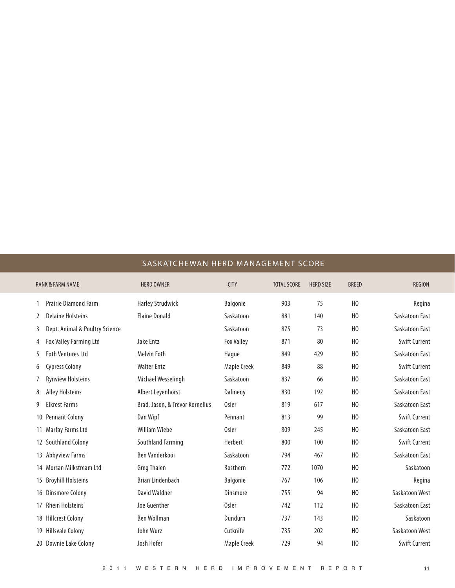#### SASKATCHEWAN HERD MANAGEMENT SCORE

| <b>RANK &amp; FARM NAME</b>         | <b>HERD OWNER</b>               | <b>CITY</b>       | <b>TOTAL SCORE</b> | <b>HERD SIZE</b> | <b>BREED</b>   | <b>REGION</b>        |
|-------------------------------------|---------------------------------|-------------------|--------------------|------------------|----------------|----------------------|
| <b>Prairie Diamond Farm</b>         | <b>Harley Strudwick</b>         | <b>Balgonie</b>   | 903                | 75               | H <sub>0</sub> | Regina               |
| <b>Delaine Holsteins</b><br>2       | <b>Elaine Donald</b>            | Saskatoon         | 881                | 140              | H <sub>0</sub> | Saskatoon East       |
| Dept. Animal & Poultry Science<br>3 |                                 | Saskatoon         | 875                | 73               | H <sub>0</sub> | Saskatoon East       |
| Fox Valley Farming Ltd<br>4         | Jake Entz                       | <b>Fox Valley</b> | 871                | 80               | H <sub>0</sub> | <b>Swift Current</b> |
| <b>Foth Ventures Ltd</b><br>5       | Melvin Foth                     | Hague             | 849                | 429              | H <sub>0</sub> | Saskatoon East       |
| <b>Cypress Colony</b><br>6          | <b>Walter Entz</b>              | Maple Creek       | 849                | 88               | H <sub>0</sub> | <b>Swift Current</b> |
| <b>Rynview Holsteins</b>            | Michael Wesselingh              | Saskatoon         | 837                | 66               | H <sub>0</sub> | Saskatoon East       |
| <b>Alley Holsteins</b><br>8         | Albert Leyenhorst               | Dalmeny           | 830                | 192              | H <sub>0</sub> | Saskatoon East       |
| <b>Elkrest Farms</b><br>9           | Brad, Jason, & Trevor Kornelius | <b>Osler</b>      | 819                | 617              | H <sub>0</sub> | Saskatoon East       |
| <b>Pennant Colony</b>               | Dan Wipf                        | Pennant           | 813                | 99               | H <sub>0</sub> | <b>Swift Current</b> |
| Marfay Farms Ltd                    | <b>William Wiebe</b>            | <b>Osler</b>      | 809                | 245              | H <sub>0</sub> | Saskatoon East       |
| <b>Southland Colony</b><br>12       | Southland Farming               | Herbert           | 800                | 100              | H <sub>0</sub> | <b>Swift Current</b> |
| <b>Abbyview Farms</b><br>13         | <b>Ben Vanderkooi</b>           | Saskatoon         | 794                | 467              | H <sub>0</sub> | Saskatoon East       |
| Morsan Milkstream Ltd<br>14         | <b>Greg Thalen</b>              | Rosthern          | 772                | 1070             | H <sub>0</sub> | Saskatoon            |
| <b>Broyhill Holsteins</b><br>15     | <b>Brian Lindenbach</b>         | Balgonie          | 767                | 106              | H <sub>0</sub> | Regina               |
| <b>Dinsmore Colony</b><br>16        | David Waldner                   | Dinsmore          | 755                | 94               | H <sub>0</sub> | Saskatoon West       |
| <b>Rhein Holsteins</b>              | Joe Guenther                    | <b>Osler</b>      | 742                | 112              | H <sub>0</sub> | Saskatoon East       |
| <b>Hillcrest Colony</b><br>18       | <b>Ben Wollman</b>              | Dundurn           | 737                | 143              | H <sub>0</sub> | Saskatoon            |
| <b>Hillsvale Colony</b><br>19       | John Wurz                       | Cutknife          | 735                | 202              | H <sub>0</sub> | Saskatoon West       |
| 20 Downie Lake Colony               | Josh Hofer                      | Maple Creek       | 729                | 94               | H <sub>0</sub> | <b>Swift Current</b> |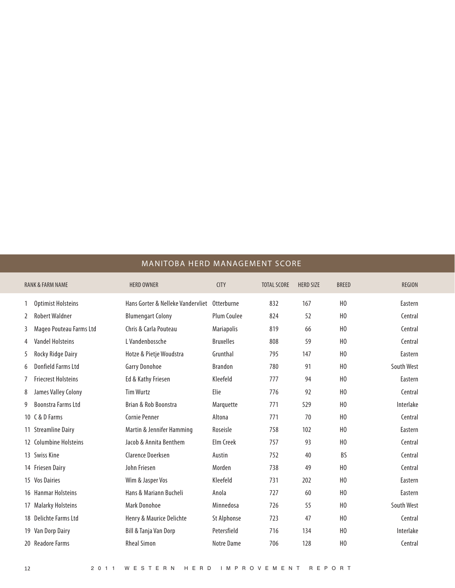#### MANITOBA HERD MANAGEMENT SCORE

|                 | <b>RANK &amp; FARM NAME</b> | <b>HERD OWNER</b>                            | <b>CITY</b>       | <b>TOTAL SCORE</b> | <b>HERD SIZE</b> | <b>BREED</b>   | <b>REGION</b> |
|-----------------|-----------------------------|----------------------------------------------|-------------------|--------------------|------------------|----------------|---------------|
|                 | <b>Optimist Holsteins</b>   | Hans Gorter & Nelleke Vandervliet Otterburne |                   | 832                | 167              | H <sub>0</sub> | Eastern       |
| 2               | <b>Robert Waldner</b>       | <b>Blumengart Colony</b>                     | Plum Coulee       | 824                | 52               | H <sub>0</sub> | Central       |
| 3               | Mageo Pouteau Farms Ltd     | Chris & Carla Pouteau                        | <b>Mariapolis</b> | 819                | 66               | H <sub>0</sub> | Central       |
| 4               | <b>Vandel Holsteins</b>     | L Vandenbossche                              | <b>Bruxelles</b>  | 808                | 59               | H <sub>0</sub> | Central       |
| 5               | Rocky Ridge Dairy           | Hotze & Pietje Woudstra                      | Grunthal          | 795                | 147              | H <sub>0</sub> | Eastern       |
| 6               | Donfield Farms Ltd          | Garry Donohoe                                | <b>Brandon</b>    | 780                | 91               | H <sub>0</sub> | South West    |
| 7               | <b>Friecrest Holsteins</b>  | Ed & Kathy Friesen                           | Kleefeld          | 777                | 94               | H <sub>0</sub> | Eastern       |
| 8               | James Valley Colony         | <b>Tim Wurtz</b>                             | Elie              | 776                | 92               | H <sub>0</sub> | Central       |
| 9               | <b>Boonstra Farms Ltd</b>   | Brian & Rob Boonstra                         | Marquette         | 771                | 529              | H <sub>0</sub> | Interlake     |
| 10 <sup>°</sup> | C & D Farms                 | <b>Cornie Penner</b>                         | Altona            | 771                | 70               | H <sub>0</sub> | Central       |
| 11              | <b>Streamline Dairy</b>     | Martin & Jennifer Hamming                    | Roseisle          | 758                | 102              | H <sub>0</sub> | Eastern       |
|                 | 12 Columbine Holsteins      | Jacob & Annita Benthem                       | Elm Creek         | 757                | 93               | H <sub>0</sub> | Central       |
|                 | 13 Swiss Kine               | Clarence Doerksen                            | Austin            | 752                | 40               | <b>BS</b>      | Central       |
|                 | 14 Friesen Dairy            | John Friesen                                 | Morden            | 738                | 49               | H <sub>0</sub> | Central       |
| 15              | <b>Vos Dairies</b>          | Wim & Jasper Vos                             | Kleefeld          | 731                | 202              | H <sub>0</sub> | Eastern       |
|                 | 16 Hanmar Holsteins         | Hans & Mariann Bucheli                       | Anola             | 727                | 60               | H <sub>0</sub> | Eastern       |
| 17              | <b>Malarky Holsteins</b>    | Mark Donohoe                                 | Minnedosa         | 726                | 55               | H <sub>0</sub> | South West    |
| 18              | Delichte Farms Ltd          | Henry & Maurice Delichte                     | St Alphonse       | 723                | 47               | H <sub>0</sub> | Central       |
| 19              | Van Dorp Dairy              | Bill & Tanja Van Dorp                        | Petersfield       | 716                | 134              | H <sub>0</sub> | Interlake     |
|                 | 20 Readore Farms            | <b>Rheal Simon</b>                           | Notre Dame        | 706                | 128              | H <sub>0</sub> | Central       |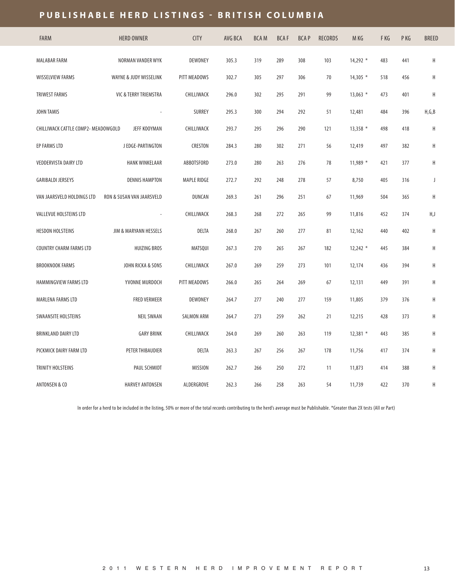## **PUBLISHABLE HERD LISTINGS - BRITISH COLUMBIA**

| <b>FARM</b>                         | <b>HERD OWNER</b>         | <b>CITY</b>        | AVG BCA | <b>BCAM</b> | <b>BCAF</b> | <b>BCAP</b> | <b>RECORDS</b> | M KG       | F KG | P KG | BREED   |
|-------------------------------------|---------------------------|--------------------|---------|-------------|-------------|-------------|----------------|------------|------|------|---------|
| <b>MALABAR FARM</b>                 | NORMAN VANDER WYK         | DEWDNEY            | 305.3   | 319         | 289         | 308         | 103            | 14,292 *   | 483  | 441  | $\sf H$ |
| WISSELVIEW FARMS                    | WAYNE & JUDY WISSELINK    | PITT MEADOWS       | 302.7   | 305         | 297         | 306         | 70             | $14,305$ * | 518  | 456  | H       |
| <b>TRIWEST FARMS</b>                | VIC & TERRY TRIEMSTRA     | CHILLIWACK         | 296.0   | 302         | 295         | 291         | 99             | $13,063$ * | 473  | 401  | H       |
| <b>JOHN TAMIS</b>                   |                           | SURREY             | 295.3   | 300         | 294         | 292         | 51             | 12,481     | 484  | 396  | H,G,B   |
| CHILLIWACK CATTLE COMP2- MEADOWGOLD | JEFF KOOYMAN              | CHILLIWACK         | 293.7   | 295         | 296         | 290         | 121            | $13,358$ * | 498  | 418  | H       |
| EP FARMS LTD                        | J EDGE-PARTINGTON         | CRESTON            | 284.3   | 280         | 302         | 271         | 56             | 12,419     | 497  | 382  | H       |
| VEDDERVISTA DAIRY LTD               | <b>HANK WINKELAAR</b>     | ABBOTSFORD         | 273.0   | 280         | 263         | 276         | 78             | 11,989 *   | 421  | 377  | Η       |
| <b>GARIBALDI JERSEYS</b>            | <b>DENNIS HAMPTON</b>     | <b>MAPLE RIDGE</b> | 272.7   | 292         | 248         | 278         | 57             | 8,750      | 405  | 316  | J       |
| VAN JAARSVELD HOLDINGS LTD          | RON & SUSAN VAN JAARSVELD | DUNCAN             | 269.3   | 261         | 296         | 251         | 67             | 11,969     | 504  | 365  | H       |
| VALLEVUE HOLSTEINS LTD              |                           | CHILLIWACK         | 268.3   | 268         | 272         | 265         | 99             | 11,816     | 452  | 374  | H,J     |
| HESDON HOLSTEINS                    | JIM & MARYANN HESSELS     | DELTA              | 268.0   | 267         | 260         | 277         | 81             | 12,162     | 440  | 402  | $\sf H$ |
| COUNTRY CHARM FARMS LTD             | <b>HUIZING BROS</b>       | MATSQUI            | 267.3   | 270         | 265         | 267         | 182            | $12,242$ * | 445  | 384  | $\sf H$ |
| <b>BROOKNOOK FARMS</b>              | JOHN RICKA & SONS         | CHILLIWACK         | 267.0   | 269         | 259         | 273         | 101            | 12,174     | 436  | 394  | H       |
| HAMMINGVIEW FARMS LTD               | YVONNE MURDOCH            | PITT MEADOWS       | 266.0   | 265         | 264         | 269         | 67             | 12,131     | 449  | 391  | $\sf H$ |
| MARLENA FARMS LTD                   | <b>FRED VERMEER</b>       | DEWDNEY            | 264.7   | 277         | 240         | 277         | 159            | 11,805     | 379  | 376  | $\sf H$ |
| <b>SWAANSITE HOLSTEINS</b>          | <b>NEIL SWAAN</b>         | <b>SALMON ARM</b>  | 264.7   | 273         | 259         | 262         | 21             | 12,215     | 428  | 373  | Η       |
| BRINKLAND DAIRY LTD                 | <b>GARY BRINK</b>         | CHILLIWACK         | 264.0   | 269         | 260         | 263         | 119            | $12,381$ * | 443  | 385  | H       |
| PICKMICK DAIRY FARM LTD             | PETER THIBAUDIER          | DELTA              | 263.3   | 267         | 256         | 267         | 178            | 11,756     | 417  | 374  | $\sf H$ |
| TRINITY HOLSTEINS                   | PAUL SCHMIDT              | <b>MISSION</b>     | 262.7   | 266         | 250         | 272         | 11             | 11,873     | 414  | 388  | $\sf H$ |
| <b>ANTONSEN &amp; CO</b>            | <b>HARVEY ANTONSEN</b>    | ALDERGROVE         | 262.3   | 266         | 258         | 263         | 54             | 11,739     | 422  | 370  | Η       |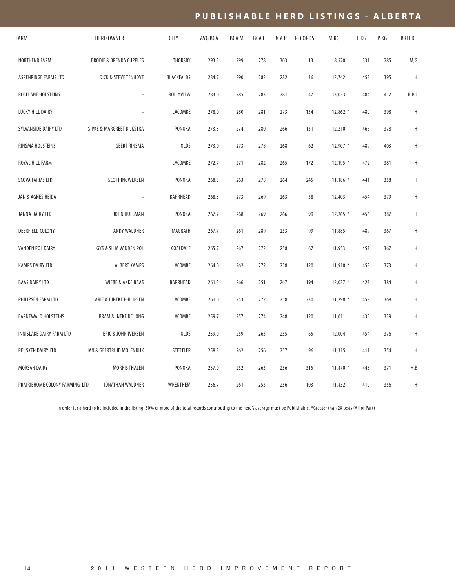#### PUBLISHABLE HERD LISTINGS - ALBERTA

| FARM                           | <b>HERD OWNER</b>                  | <b>CITY</b> | AVG BCA | <b>BCAM</b> | <b>BCAF</b> | <b>BCAP</b> | <b>RECORDS</b> | M KG       | F KG | P KG | <b>BREED</b> |
|--------------------------------|------------------------------------|-------------|---------|-------------|-------------|-------------|----------------|------------|------|------|--------------|
| NORTHEND FARM                  | <b>BRODIE &amp; BRENDA CUPPLES</b> | THORSBY     | 293.3   | 299         | 278         | 303         | 13             | 8,520      | 331  | 285  | M,G          |
| ASPENRIDGE FARMS LTD           | DICK & STEVE TENHOVE               | BLACKFALDS  | 284.7   | 290         | 282         | 282         | 36             | 12,742     | 458  | 395  | $\mathsf H$  |
| ROSELANE HOLSTEINS             |                                    | ROLLYVIEW   | 283.0   | 285         | 283         | 281         | 47             | 13,033     | 484  | 412  | H, B, J      |
| LUCKY HILL DAIRY               |                                    | LACOMBE     | 278.0   | 280         | 281         | 273         | 134            | $12,862$ * | 480  | 398  | Η            |
| SYLVANSIDE DAIRY LTD           | SIPKE & MARGREET DIJKSTRA          | PONOKA      | 273.3   | 274         | 280         | 266         | 131            | 12,210     | 466  | 378  | Н            |
| RINSMA HOLSTEINS               | <b>GEERT RINSMA</b>                | <b>OLDS</b> | 273.0   | 273         | 278         | 268         | 62             | $12,907$ * | 489  | 403  | Н            |
| ROYAL HILL FARM                |                                    | LACOMBE     | 272.7   | 271         | 282         | 265         | 172            | $12,195$ * | 472  | 381  | Н            |
| <b>SCOVA FARMS LTD</b>         | SCOTT INGWERSEN                    | PONOKA      | 268.3   | 263         | 278         | 264         | 245            | $11,186$ * | 441  | 358  | Н            |
| JAN & AGNES HEIDA              | $\overline{\phantom{a}}$           | BARRHEAD    | 268.3   | 273         | 269         | 263         | 38             | 12,403     | 454  | 379  | Н            |
| JANNA DAIRY LTD                | JOHN HULSMAN                       | PONOKA      | 267.7   | 268         | 269         | 266         | 99             | $12,265$ * | 456  | 387  | Η            |
| DEERFIELD COLONY               | ANDY WALDNER                       | MAGRATH     | 267.7   | 261         | 289         | 253         | 99             | 11,885     | 489  | 367  | H            |
| VANDEN POL DAIRY               | GYS & SILIA VANDEN POL             | COALDALE    | 265.7   | 267         | 272         | 258         | 67             | 11,953     | 453  | 367  | Н            |
| <b>KAMPS DAIRY LTD</b>         | <b>ALBERT KAMPS</b>                | LACOMBE     | 264.0   | 262         | 272         | 258         | 120            | $11,910$ * | 458  | 373  | H            |
| <b>BAAS DAIRY LTD</b>          | <b>WIEBE &amp; AKKE BAAS</b>       | BARRHEAD    | 261.3   | 266         | 251         | 267         | 194            | $12,037$ * | 423  | 384  | Н            |
| PHILIPSEN FARM LTD             | ARIE & DINEKE PHILIPSEN            | LACOMBE     | 261.0   | 253         | 272         | 258         | 230            | $11,298$ * | 453  | 368  | H            |
| EARNEWALD HOLSTEINS            | <b>BRAM &amp; INEKE DE JONG</b>    | LACOMBE     | 259.7   | 257         | 274         | 248         | 120            | 11,011     | 435  | 339  | Н            |
| INNISLAKE DAIRY FARM LTD       | ERIC & JOHN IVERSEN                | <b>OLDS</b> | 259.0   | 259         | 263         | 255         | 65             | 12,004     | 454  | 376  | Н            |
| REUSKEN DAIRY LTD              | JAN & GEERTRUID MOLENDIJK          | STETTLER    | 258.3   | 262         | 256         | 257         | 96             | 11,315     | 411  | 354  | Η            |
| MORSAN DAIRY                   | <b>MORRIS THALEN</b>               | PONOKA      | 257.0   | 252         | 263         | 256         | 315            | $11,470$ * | 445  | 371  | H, B         |
| PRAIRIEHOME COLONY FARMING LTD | JONATHAN WALDNER                   | WRENTHEM    | 256.7   | 261         | 253         | 256         | 103            | 11,432     | 410  | 356  | Н            |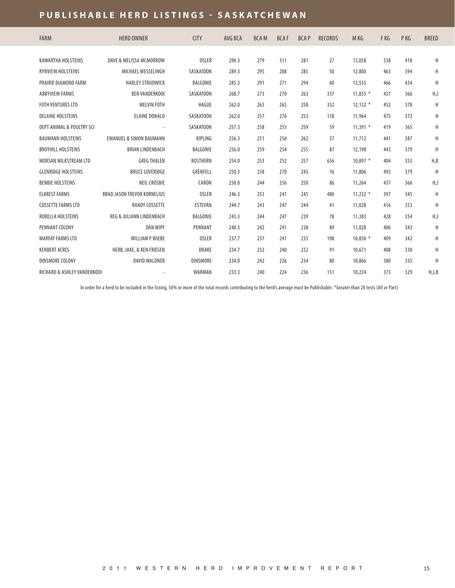#### **PUBLISHABLE HERD LISTINGS - SASKATCHEWAN**

| <b>FARM</b>                 | <b>HERD OWNER</b>                  | <b>CITY</b>     | AVG BCA | <b>BCAM</b> | <b>BCAF</b> | <b>BCAP</b> | <b>RECORDS</b> | M KG       | F KG | P KG | <b>BREED</b> |
|-----------------------------|------------------------------------|-----------------|---------|-------------|-------------|-------------|----------------|------------|------|------|--------------|
| KAWARTHA HOLSTEINS          | DAVE & MELISSA MCMORROW            | <b>OSLER</b>    | 290.3   | 279         | 311         | 281         | 27             | 13,058     | 538  | 418  | H            |
| <b>RYNVIEW HOLSTEINS</b>    | MICHAEL WESSELINGH                 | SASKATOON       | 289.3   | 295         | 288         | 285         | 50             | 12,800     | 463  | 394  | H            |
| PRAIRIE DIAMOND FARM        | <b>HARLEY STRUDWICK</b>            | BALGONIE        | 285.3   | 291         | 271         | 294         | 60             | 13,555     | 466  | 434  | H            |
| <b>ABBYVIEW FARMS</b>       | <b>BEN VANDERKOOI</b>              | SASKATOON       | 268.7   | 273         | 270         | 263         | 337            | $11.835*$  | 437  | 366  | H,J          |
| <b>FOTH VENTURES LTD</b>    | <b>MELVIN FOTH</b>                 | <b>HAGUE</b>    | 262.0   | 263         | 265         | 258         | 352            | $12,132$ * | 452  | 378  | H            |
| <b>DELAINE HOLSTEINS</b>    | <b>ELAINE DONALD</b>               | SASKATOON       | 262.0   | 257         | 276         | 253         | 118            | 11,964     | 475  | 372  | H            |
| DEPT ANIMAL & POULTRY SCI   |                                    | SASKATOON       | 257.3   | 258         | 255         | 259         | 59             | $11,391$ * | 419  | 365  | H            |
| <b>BAUMANN HOLSTEINS</b>    | <b>EMANUEL &amp; SIMON BAUMANN</b> | KIPLING         | 256.3   | 251         | 256         | 262         | 57             | 11,712     | 441  | 387  | H            |
| <b>BROYHILL HOLSTEINS</b>   | <b>BRIAN LINDENBACH</b>            | BALGONIE        | 256.0   | 259         | 254         | 255         | 87             | 12,198     | 443  | 379  | H            |
| MORSAN MILKSTREAM LTD       | <b>GREG THALEN</b>                 | ROSTHERN        | 254.0   | 253         | 252         | 257         | 656            | $10.897*$  | 404  | 353  | H, B         |
|                             |                                    |                 |         |             |             |             |                |            |      |      |              |
| <b>GLENRIDGE HOLSTEINS</b>  | <b>BRUCE LOVERIDGE</b>             | GRENFELL        | 250.3   | 238         | 270         | 243         | 16             | 11,806     | 493  | 379  | H            |
| <b>BENBIE HOLSTEINS</b>     | <b>NEIL CROSBIE</b>                | CARON           | 250.0   | 244         | 256         | 250         | 86             | 11,264     | 437  | 366  | H,J          |
| <b>ELKREST FARMS</b>        | <b>BRAD JASON TREVOR KORNELIUS</b> | <b>OSLER</b>    | 246.3   | 253         | 241         | 245         | 480            | $11.232*$  | 397  | 345  | H            |
| <b>COSSETTE FARMS LTD</b>   | <b>RANDY COSSETTE</b>              | ESTEVAN         | 244.7   | 243         | 247         | 244         | 41             | 11,028     | 416  | 353  | H            |
| ROBELLA HOLSTEINS           | REG & JULIANN LINDENBACH           | BALGONIE        | 243.3   | 244         | 247         | 239         | 78             | 11,383     | 428  | 354  | H,J          |
| PENNANT COLONY              | <b>DAN WIPF</b>                    | PENNANT         | 240.3   | 242         | 241         | 238         | 89             | 11,028     | 406  | 343  | H            |
| <b>MARFAY FARMS LTD</b>     | <b>WILLIAM P WIEBE</b>             | <b>OSLER</b>    | 237.7   | 237         | 241         | 235         | 198            | $10.830*$  | 409  | 342  | Η            |
| <b>KENBERT ACRES</b>        | HERB, JAKE, & KEN FRIESEN          | <b>DRAKE</b>    | 234.7   | 232         | 240         | 232         | 91             | 10,671     | 408  | 338  | H            |
| DINSMORE COLONY             | <b>DAVID WALDNER</b>               | <b>DINSMORE</b> | 234.0   | 242         | 226         | 234         | 80             | 10,866     | 380  | 335  | H            |
| RICHARD & ASHLEY VANDERKOOI |                                    | WARMAN          | 233.3   | 240         | 224         | 236         | 151            | 10,224     | 373  | 329  | H,J,B        |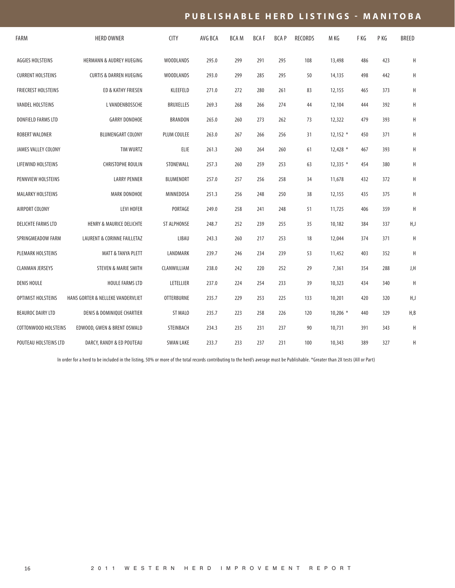### **P U B L I S H A B L E H E R D L I S T I N G S - M A N I T O B A**

| FARM                      | <b>HERD OWNER</b>                     | <b>CITY</b>       | AVG BCA | <b>BCAM</b> | <b>BCAF</b> | <b>BCAP</b> | RECORDS | M KG       | F KG | P KG | BREED |
|---------------------------|---------------------------------------|-------------------|---------|-------------|-------------|-------------|---------|------------|------|------|-------|
| AGGIES HOLSTEINS          | <b>HERMANN &amp; AUDREY HUEGING</b>   | <b>WOODLANDS</b>  | 295.0   | 299         | 291         | 295         | 108     | 13,498     | 486  | 423  | Η     |
| <b>CURRENT HOLSTEINS</b>  | <b>CURTIS &amp; DARREN HUEGING</b>    | <b>WOODLANDS</b>  | 293.0   | 299         | 285         | 295         | 50      | 14,135     | 498  | 442  | Η     |
| FRIECREST HOLSTEINS       | ED & KATHY FRIESEN                    | KLEEFELD          | 271.0   | 272         | 280         | 261         | 83      | 12,155     | 465  | 373  | Н     |
| <b>VANDEL HOLSTEINS</b>   | L VANDENBOSSCHE                       | BRUXELLES         | 269.3   | 268         | 266         | 274         | 44      | 12,104     | 444  | 392  | Η     |
| DONFIELD FARMS LTD        | <b>GARRY DONOHOE</b>                  | BRANDON           | 265.0   | 260         | 273         | 262         | 73      | 12,322     | 479  | 393  | Η     |
| ROBERT WALDNER            | <b>BLUMENGART COLONY</b>              | PLUM COULEE       | 263.0   | 267         | 266         | 256         | 31      | $12,152$ * | 450  | 371  | Η     |
| JAMES VALLEY COLONY       | TIM WURTZ                             | ELIE              | 261.3   | 260         | 264         | 260         | 61      | $12,428$ * | 467  | 393  | Н     |
| LIFEWIND HOLSTEINS        | <b>CHRISTOPHE ROULIN</b>              | STONEWALL         | 257.3   | 260         | 259         | 253         | 63      | $12,335$ * | 454  | 380  | Н     |
| PENNVIEW HOLSTEINS        | <b>LARRY PENNER</b>                   | <b>BLUMENORT</b>  | 257.0   | 257         | 256         | 258         | 34      | 11,678     | 432  | 372  | Н     |
| <b>MALARKY HOLSTEINS</b>  | <b>MARK DONOHOE</b>                   | MINNEDOSA         | 251.3   | 256         | 248         | 250         | 38      | 12,155     | 435  | 375  | Η     |
| AIRPORT COLONY            | <b>LEVI HOFER</b>                     | PORTAGE           | 249.0   | 258         | 241         | 248         | 51      | 11,725     | 406  | 359  | H     |
| <b>DELICHTE FARMS LTD</b> | <b>HENRY &amp; MAURICE DELICHTE</b>   | ST ALPHONSE       | 248.7   | 252         | 239         | 255         | 35      | 10,182     | 384  | 337  | H,J   |
| SPRINGMEADOW FARM         | LAURENT & CORINNE FAILLETAZ           | LIBAU             | 243.3   | 260         | 217         | 253         | 18      | 12,044     | 374  | 371  | H     |
| PLEMARK HOLSTEINS         | <b>MATT &amp; TANYA PLETT</b>         | LANDMARK          | 239.7   | 246         | 234         | 239         | 53      | 11,452     | 403  | 352  | H     |
| <b>CLANMAN JERSEYS</b>    | <b>STEVEN &amp; MARIE SMITH</b>       | CLANWILLIAM       | 238.0   | 242         | 220         | 252         | 29      | 7,361      | 354  | 288  | J,H   |
| <b>DENIS HOULE</b>        | <b>HOULE FARMS LTD</b>                | LETELLIER         | 237.0   | 224         | 254         | 233         | 39      | 10,323     | 434  | 340  | H     |
| <b>OPTIMIST HOLSTEINS</b> | HANS GORTER & NELLEKE VANDERVLIET     | <b>OTTERBURNE</b> | 235.7   | 229         | 253         | 225         | 133     | 10,201     | 420  | 320  | H,J   |
| BEAUROC DAIRY LTD         | <b>DENIS &amp; DOMINIQUE CHARTIER</b> | ST MALO           | 235.7   | 223         | 258         | 226         | 120     | $10,206$ * | 440  | 329  | H, B  |
| COTTONWOOD HOLSTEINS      | EDWOOD, GWEN & BRENT OSWALD           | STEINBACH         | 234.3   | 235         | 231         | 237         | 90      | 10,731     | 391  | 343  | H     |
| POUTEAU HOLSTEINS LTD     | DARCY, RANDY & ED POUTEAU             | <b>SWAN LAKE</b>  | 233.7   | 233         | 237         | 231         | 100     | 10,343     | 389  | 327  | Η     |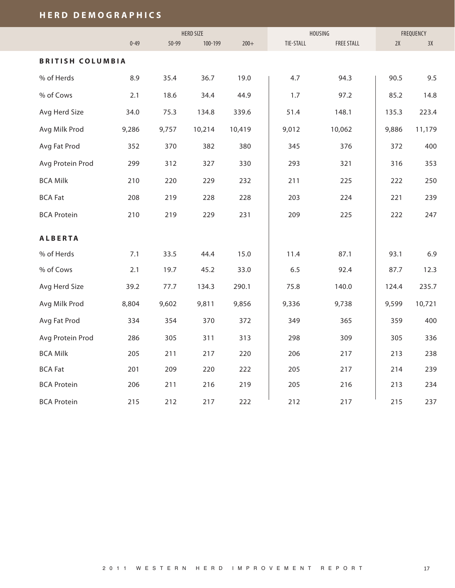## **H E R D D E M O G R A P H I C S**

|                         |          |           | <b>HERD SIZE</b> |        |           | HOUSING           | FREQUENCY |        |  |
|-------------------------|----------|-----------|------------------|--------|-----------|-------------------|-----------|--------|--|
|                         | $0 - 49$ | $50 - 99$ | 100-199          | $200+$ | TIE-STALL | <b>FREE STALL</b> | 2X        | 3X     |  |
| <b>BRITISH COLUMBIA</b> |          |           |                  |        |           |                   |           |        |  |
| % of Herds              | 8.9      | 35.4      | 36.7             | 19.0   | 4.7       | 94.3              | 90.5      | 9.5    |  |
| % of Cows               | 2.1      | 18.6      | 34.4             | 44.9   | 1.7       | 97.2              | 85.2      | 14.8   |  |
| Avg Herd Size           | 34.0     | 75.3      | 134.8            | 339.6  | 51.4      | 148.1             | 135.3     | 223.4  |  |
| Avg Milk Prod           | 9,286    | 9,757     | 10,214           | 10,419 | 9,012     | 10,062            | 9,886     | 11,179 |  |
| Avg Fat Prod            | 352      | 370       | 382              | 380    | 345       | 376               | 372       | 400    |  |
| Avg Protein Prod        | 299      | 312       | 327              | 330    | 293       | 321               | 316       | 353    |  |
| <b>BCA Milk</b>         | 210      | 220       | 229              | 232    | 211       | 225               | 222       | 250    |  |
| <b>BCA Fat</b>          | 208      | 219       | 228              | 228    | 203       | 224               | 221       | 239    |  |
| <b>BCA Protein</b>      | 210      | 219       | 229              | 231    | 209       | 225               | 222       | 247    |  |
| <b>ALBERTA</b>          |          |           |                  |        |           |                   |           |        |  |
| % of Herds              | 7.1      | 33.5      | 44.4             | 15.0   | 11.4      | 87.1              | 93.1      | 6.9    |  |
| % of Cows               | 2.1      | 19.7      | 45.2             | 33.0   | 6.5       | 92.4              | 87.7      | 12.3   |  |
| Avg Herd Size           | 39.2     | 77.7      | 134.3            | 290.1  | 75.8      | 140.0             | 124.4     | 235.7  |  |
| Avg Milk Prod           | 8,804    | 9,602     | 9,811            | 9,856  | 9,336     | 9,738             | 9,599     | 10,721 |  |
| Avg Fat Prod            | 334      | 354       | 370              | 372    | 349       | 365               | 359       | 400    |  |
| Avg Protein Prod        | 286      | 305       | 311              | 313    | 298       | 309               | 305       | 336    |  |
| <b>BCA Milk</b>         | 205      | 211       | 217              | 220    | 206       | 217               | 213       | 238    |  |
| <b>BCA Fat</b>          | 201      | 209       | 220              | 222    | 205       | 217               | 214       | 239    |  |
| <b>BCA Protein</b>      | 206      | 211       | 216              | 219    | 205       | 216               | 213       | 234    |  |
| <b>BCA Protein</b>      | 215      | 212       | 217              | 222    | 212       | 217               | 215       | 237    |  |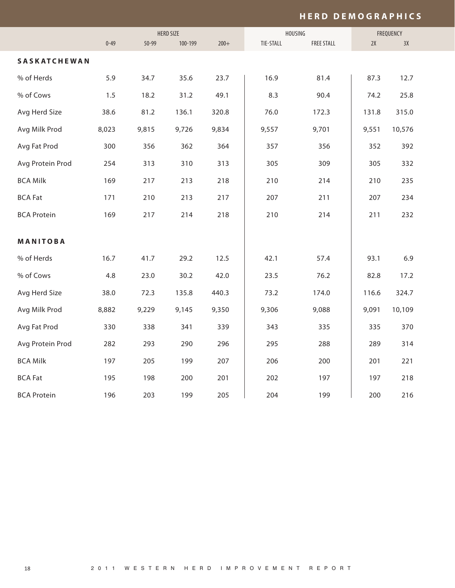#### **H E R D D E M O G R A P H I C S**

|                     |          | <b>HERD SIZE</b> |         |        | HOUSING   | FREQUENCY         |       |        |  |
|---------------------|----------|------------------|---------|--------|-----------|-------------------|-------|--------|--|
|                     | $0 - 49$ | $50 - 99$        | 100-199 | $200+$ | TIE-STALL | <b>FREE STALL</b> | 2X    | 3X     |  |
| <b>SASKATCHEWAN</b> |          |                  |         |        |           |                   |       |        |  |
| % of Herds          | 5.9      | 34.7             | 35.6    | 23.7   | 16.9      | 81.4              | 87.3  | 12.7   |  |
| % of Cows           | 1.5      | 18.2             | 31.2    | 49.1   | 8.3       | 90.4              | 74.2  | 25.8   |  |
| Avg Herd Size       | 38.6     | 81.2             | 136.1   | 320.8  | 76.0      | 172.3             | 131.8 | 315.0  |  |
| Avg Milk Prod       | 8,023    | 9,815            | 9,726   | 9,834  | 9,557     | 9,701             | 9,551 | 10,576 |  |
| Avg Fat Prod        | 300      | 356              | 362     | 364    | 357       | 356               | 352   | 392    |  |
| Avg Protein Prod    | 254      | 313              | 310     | 313    | 305       | 309               | 305   | 332    |  |
| <b>BCA Milk</b>     | 169      | 217              | 213     | 218    | 210       | 214               | 210   | 235    |  |
| <b>BCA Fat</b>      | 171      | 210              | 213     | 217    | 207       | 211               | 207   | 234    |  |
| <b>BCA Protein</b>  | 169      | 217              | 214     | 218    | 210       | 214               | 211   | 232    |  |
|                     |          |                  |         |        |           |                   |       |        |  |
| MANITOBA            |          |                  |         |        |           |                   |       |        |  |
| % of Herds          | 16.7     | 41.7             | 29.2    | 12.5   | 42.1      | 57.4              | 93.1  | 6.9    |  |
| % of Cows           | 4.8      | 23.0             | 30.2    | 42.0   | 23.5      | 76.2              | 82.8  | 17.2   |  |
| Avg Herd Size       | 38.0     | 72.3             | 135.8   | 440.3  | 73.2      | 174.0             | 116.6 | 324.7  |  |
| Avg Milk Prod       | 8,882    | 9,229            | 9,145   | 9,350  | 9,306     | 9,088             | 9,091 | 10,109 |  |
| Avg Fat Prod        | 330      | 338              | 341     | 339    | 343       | 335               | 335   | 370    |  |
| Avg Protein Prod    | 282      | 293              | 290     | 296    | 295       | 288               | 289   | 314    |  |
| <b>BCA Milk</b>     | 197      | 205              | 199     | 207    | 206       | 200               | 201   | 221    |  |
| <b>BCA Fat</b>      | 195      | 198              | 200     | 201    | 202       | 197               | 197   | 218    |  |
| <b>BCA Protein</b>  | 196      | 203              | 199     | 205    | 204       | 199               | 200   | 216    |  |